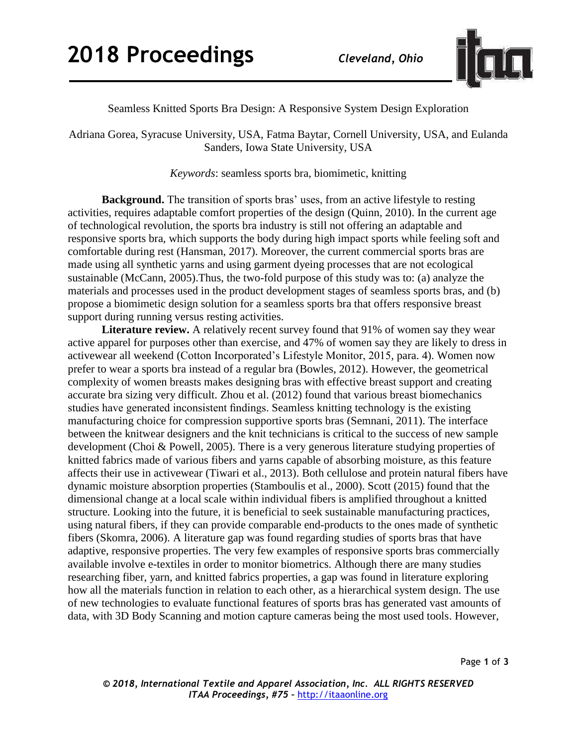

Seamless Knitted Sports Bra Design: A Responsive System Design Exploration

Adriana Gorea, Syracuse University, USA, Fatma Baytar, Cornell University, USA, and Eulanda Sanders, Iowa State University, USA

*Keywords*: seamless sports bra, biomimetic, knitting

**Background.** The transition of sports bras' uses, from an active lifestyle to resting activities, requires adaptable comfort properties of the design (Quinn, 2010). In the current age of technological revolution, the sports bra industry is still not offering an adaptable and responsive sports bra, which supports the body during high impact sports while feeling soft and comfortable during rest (Hansman, 2017). Moreover, the current commercial sports bras are made using all synthetic yarns and using garment dyeing processes that are not ecological sustainable (McCann, 2005).Thus, the two-fold purpose of this study was to: (a) analyze the materials and processes used in the product development stages of seamless sports bras, and (b) propose a biomimetic design solution for a seamless sports bra that offers responsive breast support during running versus resting activities.

**Literature review.** A relatively recent survey found that 91% of women say they wear active apparel for purposes other than exercise, and 47% of women say they are likely to dress in activewear all weekend (Cotton Incorporated's Lifestyle Monitor, 2015*,* para. 4). Women now prefer to wear a sports bra instead of a regular bra (Bowles, 2012). However, the geometrical complexity of women breasts makes designing bras with effective breast support and creating accurate bra sizing very difficult. Zhou et al. (2012) found that various breast biomechanics studies have generated inconsistent findings. Seamless knitting technology is the existing manufacturing choice for compression supportive sports bras (Semnani, 2011). The interface between the knitwear designers and the knit technicians is critical to the success of new sample development (Choi & Powell, 2005). There is a very generous literature studying properties of knitted fabrics made of various fibers and yarns capable of absorbing moisture, as this feature affects their use in activewear (Tiwari et al., 2013). Both cellulose and protein natural fibers have dynamic moisture absorption properties (Stamboulis et al., 2000). Scott (2015) found that the dimensional change at a local scale within individual fibers is amplified throughout a knitted structure. Looking into the future, it is beneficial to seek sustainable manufacturing practices, using natural fibers, if they can provide comparable end-products to the ones made of synthetic fibers (Skomra, 2006). A literature gap was found regarding studies of sports bras that have adaptive, responsive properties. The very few examples of responsive sports bras commercially available involve e-textiles in order to monitor biometrics. Although there are many studies researching fiber, yarn, and knitted fabrics properties, a gap was found in literature exploring how all the materials function in relation to each other, as a hierarchical system design. The use of new technologies to evaluate functional features of sports bras has generated vast amounts of data, with 3D Body Scanning and motion capture cameras being the most used tools. However,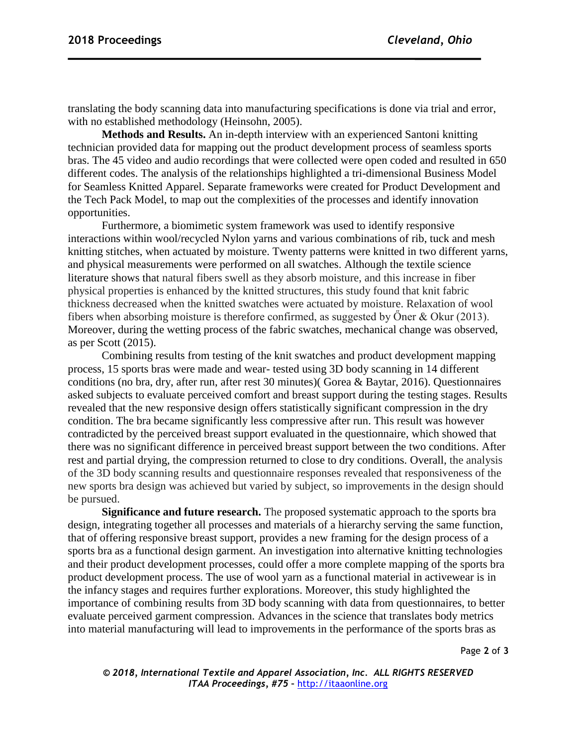translating the body scanning data into manufacturing specifications is done via trial and error, with no established methodology (Heinsohn, 2005).

**Methods and Results.** An in-depth interview with an experienced Santoni knitting technician provided data for mapping out the product development process of seamless sports bras. The 45 video and audio recordings that were collected were open coded and resulted in 650 different codes. The analysis of the relationships highlighted a tri-dimensional Business Model for Seamless Knitted Apparel. Separate frameworks were created for Product Development and the Tech Pack Model, to map out the complexities of the processes and identify innovation opportunities.

Furthermore, a biomimetic system framework was used to identify responsive interactions within wool/recycled Nylon yarns and various combinations of rib, tuck and mesh knitting stitches, when actuated by moisture. Twenty patterns were knitted in two different yarns, and physical measurements were performed on all swatches. Although the textile science literature shows that natural fibers swell as they absorb moisture, and this increase in fiber physical properties is enhanced by the knitted structures, this study found that knit fabric thickness decreased when the knitted swatches were actuated by moisture. Relaxation of wool fibers when absorbing moisture is therefore confirmed, as suggested by Öner & Okur (2013). Moreover, during the wetting process of the fabric swatches, mechanical change was observed, as per Scott (2015).

Combining results from testing of the knit swatches and product development mapping process, 15 sports bras were made and wear- tested using 3D body scanning in 14 different conditions (no bra, dry, after run, after rest 30 minutes)( Gorea & Baytar, 2016). Questionnaires asked subjects to evaluate perceived comfort and breast support during the testing stages. Results revealed that the new responsive design offers statistically significant compression in the dry condition. The bra became significantly less compressive after run. This result was however contradicted by the perceived breast support evaluated in the questionnaire, which showed that there was no significant difference in perceived breast support between the two conditions. After rest and partial drying, the compression returned to close to dry conditions. Overall, the analysis of the 3D body scanning results and questionnaire responses revealed that responsiveness of the new sports bra design was achieved but varied by subject, so improvements in the design should be pursued.

**Significance and future research.** The proposed systematic approach to the sports bra design, integrating together all processes and materials of a hierarchy serving the same function, that of offering responsive breast support, provides a new framing for the design process of a sports bra as a functional design garment. An investigation into alternative knitting technologies and their product development processes, could offer a more complete mapping of the sports bra product development process. The use of wool yarn as a functional material in activewear is in the infancy stages and requires further explorations. Moreover, this study highlighted the importance of combining results from 3D body scanning with data from questionnaires, to better evaluate perceived garment compression. Advances in the science that translates body metrics into material manufacturing will lead to improvements in the performance of the sports bras as

Page **2** of **3**